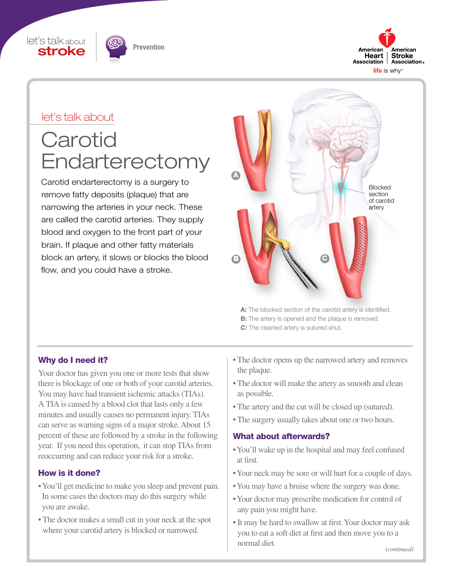





#### let's talk about

# **Carotid Endarterectomy**

Carotid endarterectomy is a surgery to remove fatty deposits (plaque) that are narrowing the arteries in your neck. These are called the carotid arteries. They supply blood and oxygen to the front part of your brain. If plaque and other fatty materials block an artery, it slows or blocks the blood flow, and you could have a stroke.



A: The blocked section of the carotid artery is identified. **B:** The artery is opened and the plaque is removed. *C*: The cleaned artery is sutured shut.

#### Why do I need it?

Your doctor has given you one or more tests that show there is blockage of one or both of your carotid arteries. You may have had transient ischemic attacks (TIAs). A TIA is caused by a blood clot that lasts only a few minutes and usually causes no permanent injury. TIAs can serve as warning signs of a major stroke. About 15 percent of these are followed by a stroke in the following year. If you need this operation, it can stop TIAs from reoccurring and can reduce your risk for a stroke.

#### How is it done?

- You'll get medicine to make you sleep and prevent pain. In some cases the doctors may do this surgery while you are awake.
- The doctor makes a small cut in your neck at the spot where your carotid artery is blocked or narrowed.
- The doctor opens up the narrowed artery and removes the plaque.
- The doctor will make the artery as smooth and clean as possible.
- The artery and the cut will be closed up (sutured).
- The surgery usually takes about one or two hours.

#### What about afterwards?

- You'll wake up in the hospital and may feel confused at first.
- Your neck may be sore or will hurt for a couple of days.
- You may have a bruise where the surgery was done.
- Your doctor may prescribe medication for control of any pain you might have.
- It may be hard to swallow at first. Your doctor may ask you to eat a soft diet at first and then move you to a normal diet.